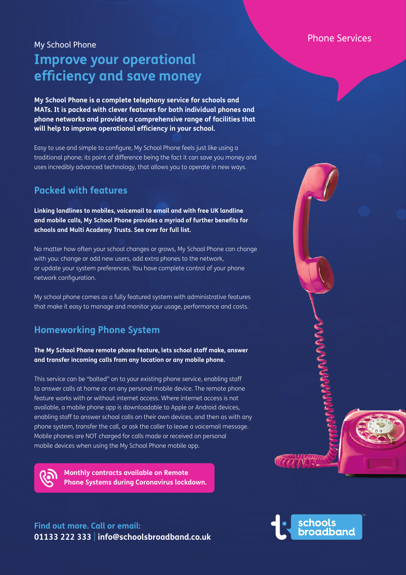### Phone Services

# My School Phone **Improve your operational efficiency and save money**

**My School Phone is a complete telephony service for schools and MATs. It is packed with clever features for both individual phones and phone networks and provides a comprehensive range of facilities that will help to improve operational efficiency in your school.** 

Easy to use and simple to configure, My School Phone feels just like using a traditional phone; its point of difference being the fact it can save you money and uses incredibly advanced technology, that allows you to operate in new ways.

# **Packed with features**

**Linking landlines to mobiles, voicemail to email and with free UK landline and mobile calls, My School Phone provides a myriad of further benefits for schools and Multi Academy Trusts. See over for full list.**

No matter how often your school changes or grows, My School Phone can change with you: change or add new users, add extra phones to the network, or update your system preferences. You have complete control of your phone network configuration.

My school phone comes as a fully featured system with administrative features that make it easy to manage and monitor your usage, performance and costs.

# **Homeworking Phone System**

#### **The My School Phone remote phone feature, lets school staff make, answer and transfer incoming calls from any location or any mobile phone.**

This service can be "bolted" on to your existing phone service, enabling staff to answer calls at home or on any personal mobile device. The remote phone feature works with or without internet access. Where internet access is not available, a mobile phone app is downloadable to Apple or Android devices, enabling staff to answer school calls on their own devices, and then as with any phone system, transfer the call, or ask the caller to leave a voicemail message. Mobile phones are NOT charged for calls made or received on personal mobile devices when using the My School Phone mobile app.



**Monthly contracts available on Remote Phone Systems during Coronavirus lockdown.**

# **Find out more. Call or email: 01133 222 333** | **info@schoolsbroadband.co.uk**



**ACCOMMENT**